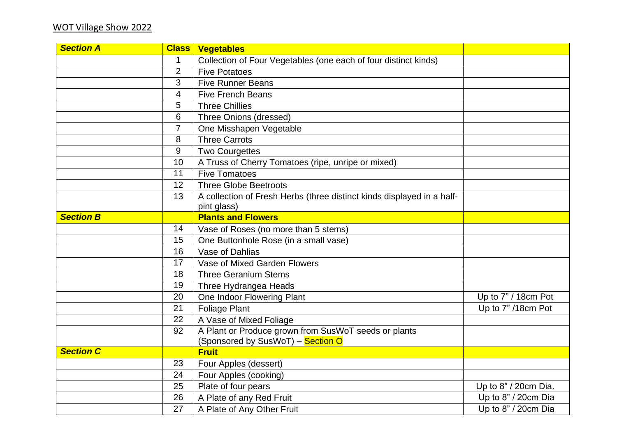| <b>Section A</b> | <b>Class</b>   | <b>Vegetables</b>                                                      |                      |
|------------------|----------------|------------------------------------------------------------------------|----------------------|
|                  |                | Collection of Four Vegetables (one each of four distinct kinds)        |                      |
|                  | $\overline{2}$ | <b>Five Potatoes</b>                                                   |                      |
|                  | 3              | <b>Five Runner Beans</b>                                               |                      |
|                  | 4              | <b>Five French Beans</b>                                               |                      |
|                  | 5              | <b>Three Chillies</b>                                                  |                      |
|                  | 6              | Three Onions (dressed)                                                 |                      |
|                  |                | One Misshapen Vegetable                                                |                      |
|                  | 8              | <b>Three Carrots</b>                                                   |                      |
|                  | 9              | <b>Two Courgettes</b>                                                  |                      |
|                  | 10             | A Truss of Cherry Tomatoes (ripe, unripe or mixed)                     |                      |
|                  | 11             | <b>Five Tomatoes</b>                                                   |                      |
|                  | 12             | <b>Three Globe Beetroots</b>                                           |                      |
|                  | 13             | A collection of Fresh Herbs (three distinct kinds displayed in a half- |                      |
|                  |                | pint glass)                                                            |                      |
| <b>Section B</b> |                | <b>Plants and Flowers</b>                                              |                      |
|                  | 14             | Vase of Roses (no more than 5 stems)                                   |                      |
|                  | 15             | One Buttonhole Rose (in a small vase)                                  |                      |
|                  | 16             | Vase of Dahlias                                                        |                      |
|                  | 17             | Vase of Mixed Garden Flowers                                           |                      |
|                  | 18             | <b>Three Geranium Stems</b>                                            |                      |
|                  | 19             | Three Hydrangea Heads                                                  |                      |
|                  | 20             | One Indoor Flowering Plant                                             | Up to 7" / 18cm Pot  |
|                  | 21             | <b>Foliage Plant</b>                                                   | Up to 7" /18cm Pot   |
|                  | 22             | A Vase of Mixed Foliage                                                |                      |
|                  | 92             | A Plant or Produce grown from SusWoT seeds or plants                   |                      |
|                  |                | (Sponsored by SusWoT) – <mark>Section O</mark>                         |                      |
| <b>Section C</b> |                | <b>Fruit</b>                                                           |                      |
|                  | 23             | Four Apples (dessert)                                                  |                      |
|                  | 24             | Four Apples (cooking)                                                  |                      |
|                  | 25             | Plate of four pears                                                    | Up to 8" / 20cm Dia. |
|                  | 26             | A Plate of any Red Fruit                                               | Up to 8" / 20cm Dia  |
|                  | 27             | A Plate of Any Other Fruit                                             | Up to 8" / 20cm Dia  |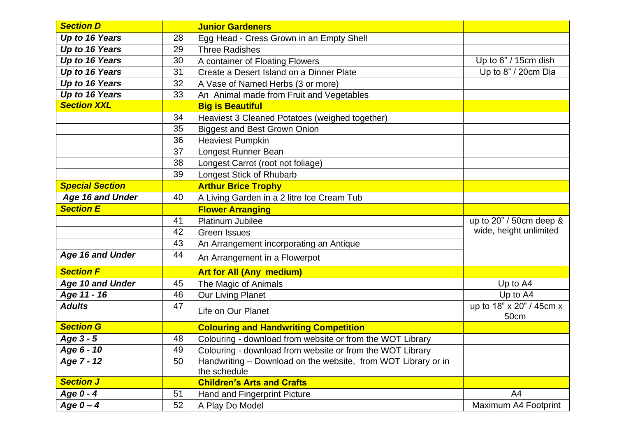| <b>Section D</b>        |    | <b>Junior Gardeners</b>                                                       |                                  |
|-------------------------|----|-------------------------------------------------------------------------------|----------------------------------|
| Up to 16 Years          | 28 | Egg Head - Cress Grown in an Empty Shell                                      |                                  |
| Up to 16 Years          | 29 | <b>Three Radishes</b>                                                         |                                  |
| Up to 16 Years          | 30 | A container of Floating Flowers                                               | Up to $6" / 15$ cm dish          |
| Up to 16 Years          | 31 | Create a Desert Island on a Dinner Plate                                      | Up to 8" / 20cm Dia              |
| Up to 16 Years          | 32 | A Vase of Named Herbs (3 or more)                                             |                                  |
| Up to 16 Years          | 33 | An Animal made from Fruit and Vegetables                                      |                                  |
| <b>Section XXL</b>      |    | <b>Big is Beautiful</b>                                                       |                                  |
|                         | 34 | Heaviest 3 Cleaned Potatoes (weighed together)                                |                                  |
|                         | 35 | <b>Biggest and Best Grown Onion</b>                                           |                                  |
|                         | 36 | <b>Heaviest Pumpkin</b>                                                       |                                  |
|                         | 37 | Longest Runner Bean                                                           |                                  |
|                         | 38 | Longest Carrot (root not foliage)                                             |                                  |
|                         | 39 | Longest Stick of Rhubarb                                                      |                                  |
| <b>Special Section</b>  |    | <b>Arthur Brice Trophy</b>                                                    |                                  |
| Age 16 and Under        | 40 | A Living Garden in a 2 litre Ice Cream Tub                                    |                                  |
| <b>Section E</b>        |    | <b>Flower Arranging</b>                                                       |                                  |
|                         | 41 | <b>Platinum Jubilee</b>                                                       | up to 20" / 50cm deep &          |
|                         | 42 | <b>Green Issues</b>                                                           | wide, height unlimited           |
|                         | 43 | An Arrangement incorporating an Antique                                       |                                  |
| <b>Age 16 and Under</b> | 44 | An Arrangement in a Flowerpot                                                 |                                  |
| <b>Section F</b>        |    | <b>Art for All (Any medium)</b>                                               |                                  |
| Age 10 and Under        | 45 | The Magic of Animals                                                          | Up to A4                         |
| Age 11 - 16             | 46 | Our Living Planet                                                             | Up to A4                         |
| <b>Adults</b>           | 47 | Life on Our Planet                                                            | up to 18" x 20" / 45cm x<br>50cm |
| <b>Section G</b>        |    | <b>Colouring and Handwriting Competition</b>                                  |                                  |
| Age 3 - 5               | 48 | Colouring - download from website or from the WOT Library                     |                                  |
| Age 6 - 10              | 49 | Colouring - download from website or from the WOT Library                     |                                  |
| Age 7 - 12              | 50 | Handwriting - Download on the website, from WOT Library or in<br>the schedule |                                  |
| <b>Section J</b>        |    | <b>Children's Arts and Crafts</b>                                             |                                  |
| Age 0 - 4               | 51 | Hand and Fingerprint Picture                                                  | A4                               |
| Age $0 - 4$             | 52 | A Play Do Model                                                               | Maximum A4 Footprint             |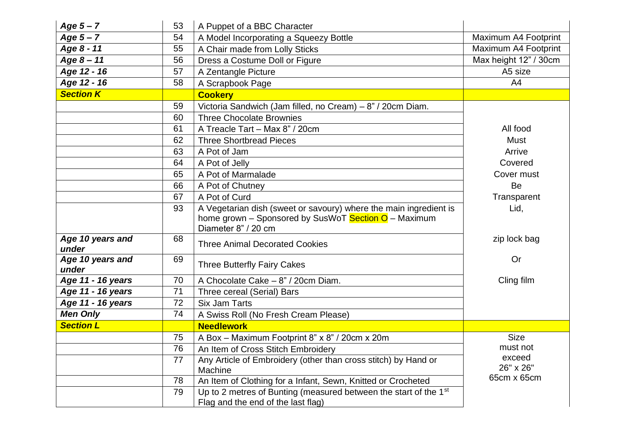| Age $5 - 7$               | 53 | A Puppet of a BBC Character                                                                                                                      |                       |
|---------------------------|----|--------------------------------------------------------------------------------------------------------------------------------------------------|-----------------------|
| Age $5 - 7$               | 54 | A Model Incorporating a Squeezy Bottle                                                                                                           | Maximum A4 Footprint  |
| Age 8 - 11                | 55 | A Chair made from Lolly Sticks                                                                                                                   | Maximum A4 Footprint  |
| Age $8 - 11$              | 56 | Dress a Costume Doll or Figure                                                                                                                   | Max height 12" / 30cm |
| Age 12 - 16               | 57 | A Zentangle Picture                                                                                                                              | A5 size               |
| Age 12 - 16               | 58 | A Scrapbook Page                                                                                                                                 | A4                    |
| <b>Section K</b>          |    | <b>Cookery</b>                                                                                                                                   |                       |
|                           | 59 | Victoria Sandwich (Jam filled, no Cream) - 8" / 20cm Diam.                                                                                       |                       |
|                           | 60 | <b>Three Chocolate Brownies</b>                                                                                                                  |                       |
|                           | 61 | A Treacle Tart - Max 8" / 20cm                                                                                                                   | All food              |
|                           | 62 | <b>Three Shortbread Pieces</b>                                                                                                                   | <b>Must</b>           |
|                           | 63 | A Pot of Jam                                                                                                                                     | Arrive                |
|                           | 64 | A Pot of Jelly                                                                                                                                   | Covered               |
|                           | 65 | A Pot of Marmalade                                                                                                                               | Cover must            |
|                           | 66 | A Pot of Chutney                                                                                                                                 | Be                    |
|                           | 67 | A Pot of Curd                                                                                                                                    | Transparent           |
|                           | 93 | A Vegetarian dish (sweet or savoury) where the main ingredient is<br>home grown - Sponsored by SusWoT Section O - Maximum<br>Diameter 8" / 20 cm | Lid,                  |
| Age 10 years and<br>under | 68 | <b>Three Animal Decorated Cookies</b>                                                                                                            | zip lock bag          |
| Age 10 years and<br>under | 69 | <b>Three Butterfly Fairy Cakes</b>                                                                                                               | Or                    |
| Age 11 - 16 years         | 70 | A Chocolate Cake - 8" / 20cm Diam.                                                                                                               | Cling film            |
| Age 11 - 16 years         | 71 | Three cereal (Serial) Bars                                                                                                                       |                       |
| Age 11 - 16 years         | 72 | <b>Six Jam Tarts</b>                                                                                                                             |                       |
| <b>Men Only</b>           | 74 | A Swiss Roll (No Fresh Cream Please)                                                                                                             |                       |
| <b>Section L</b>          |    | <b>Needlework</b>                                                                                                                                |                       |
|                           | 75 | A Box - Maximum Footprint 8" x 8" / 20cm x 20m                                                                                                   | <b>Size</b>           |
|                           | 76 | An Item of Cross Stitch Embroidery                                                                                                               | must not              |
|                           | 77 | Any Article of Embroidery (other than cross stitch) by Hand or                                                                                   | exceed                |
|                           |    | Machine                                                                                                                                          | 26" x 26"             |
|                           | 78 | An Item of Clothing for a Infant, Sewn, Knitted or Crocheted                                                                                     | 65cm x 65cm           |
|                           | 79 | Up to 2 metres of Bunting (measured between the start of the 1 <sup>st</sup><br>Flag and the end of the last flag)                               |                       |